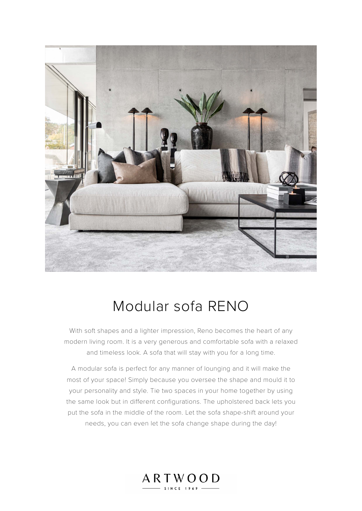

# Modular sofa RENO

With soft shapes and a lighter impression, Reno becomes the heart of any modern living room. It is a very generous and comfortable sofa with a relaxed and timeless look. A sofa that will stay with you for a long time.

A modular sofa is perfect for any manner of lounging and it will make the most of your space! Simply because you oversee the shape and mould it to your personality and style. Tie two spaces in your home together by using the same look but in different configurations. The upholstered back lets you put the sofa in the middle of the room. Let the sofa shape-shift around your needs, you can even let the sofa change shape during the day!